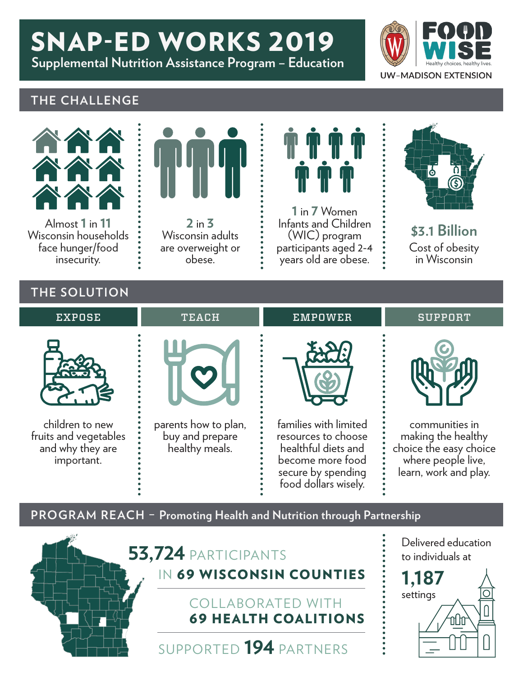# SNAP-ED WORKS 2019

**Supplemental Nutrition Assistance Program – Education**



### **THE CHALLENGE**



Almost **1**in **11** Wisconsin households face hunger/food insecurity.





**1**in **7** Women Infants and Children (WIC) program participants aged 2-4 years old are obese.



**\$3.1 Billion** Cost of obesity in Wisconsin

### **THE SOLUTION**

| <b>EXPOSE</b>                                                              | <b>TEACH</b>                                              | <b>EMPOWER</b>                                                                                                                        | <b>SUPPORT</b>                                                                                                |
|----------------------------------------------------------------------------|-----------------------------------------------------------|---------------------------------------------------------------------------------------------------------------------------------------|---------------------------------------------------------------------------------------------------------------|
|                                                                            |                                                           |                                                                                                                                       |                                                                                                               |
| children to new<br>fruits and vegetables<br>and why they are<br>important. | parents how to plan,<br>buy and prepare<br>healthy meals. | families with limited<br>resources to choose<br>healthful diets and<br>become more food<br>secure by spending<br>food dollars wisely. | communities in<br>making the healthy<br>choice the easy choice<br>where people live,<br>learn, work and play. |

**PROGRAM REACH – Promoting Health and Nutrition through Partnership**